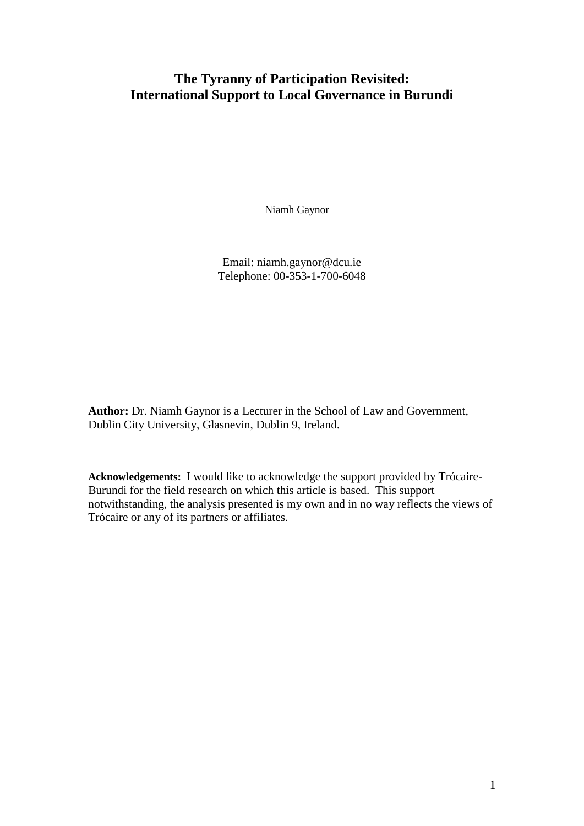# **The Tyranny of Participation Revisited: International Support to Local Governance in Burundi**

Niamh Gaynor

Email: [niamh.gaynor@dcu.ie](mailto:niamh.gaynor@dcu.ie) Telephone: 00-353-1-700-6048

**Author:** Dr. Niamh Gaynor is a Lecturer in the School of Law and Government, Dublin City University, Glasnevin, Dublin 9, Ireland.

**Acknowledgements:** I would like to acknowledge the support provided by Trócaire-Burundi for the field research on which this article is based. This support notwithstanding, the analysis presented is my own and in no way reflects the views of Trócaire or any of its partners or affiliates.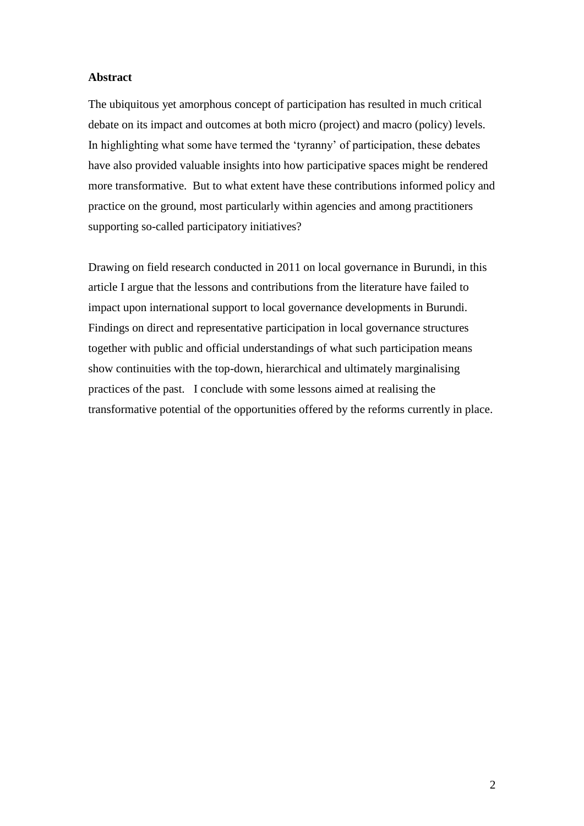## **Abstract**

The ubiquitous yet amorphous concept of participation has resulted in much critical debate on its impact and outcomes at both micro (project) and macro (policy) levels. In highlighting what some have termed the 'tyranny' of participation, these debates have also provided valuable insights into how participative spaces might be rendered more transformative. But to what extent have these contributions informed policy and practice on the ground, most particularly within agencies and among practitioners supporting so-called participatory initiatives?

Drawing on field research conducted in 2011 on local governance in Burundi, in this article I argue that the lessons and contributions from the literature have failed to impact upon international support to local governance developments in Burundi. Findings on direct and representative participation in local governance structures together with public and official understandings of what such participation means show continuities with the top-down, hierarchical and ultimately marginalising practices of the past. I conclude with some lessons aimed at realising the transformative potential of the opportunities offered by the reforms currently in place.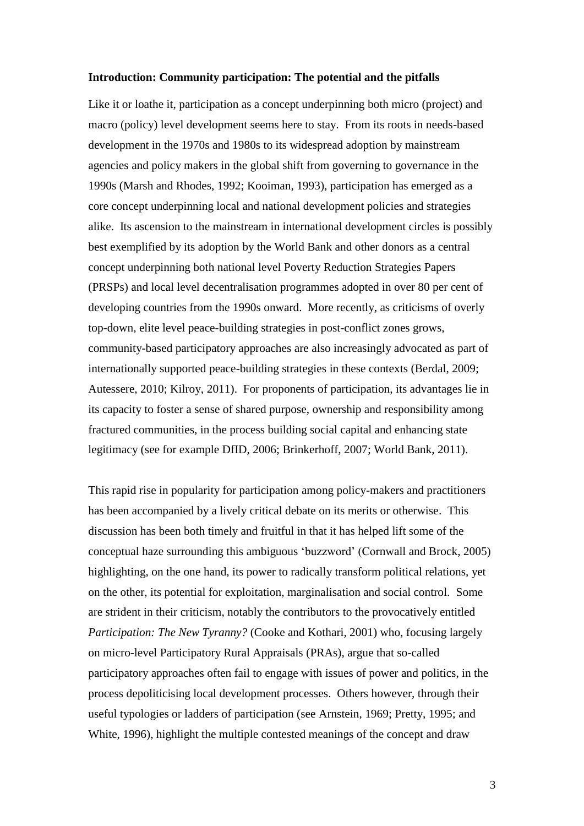#### **Introduction: Community participation: The potential and the pitfalls**

Like it or loathe it, participation as a concept underpinning both micro (project) and macro (policy) level development seems here to stay. From its roots in needs-based development in the 1970s and 1980s to its widespread adoption by mainstream agencies and policy makers in the global shift from governing to governance in the 1990s (Marsh and Rhodes, 1992; Kooiman, 1993), participation has emerged as a core concept underpinning local and national development policies and strategies alike. Its ascension to the mainstream in international development circles is possibly best exemplified by its adoption by the World Bank and other donors as a central concept underpinning both national level Poverty Reduction Strategies Papers (PRSPs) and local level decentralisation programmes adopted in over 80 per cent of developing countries from the 1990s onward. More recently, as criticisms of overly top-down, elite level peace-building strategies in post-conflict zones grows, community-based participatory approaches are also increasingly advocated as part of internationally supported peace-building strategies in these contexts (Berdal, 2009; Autessere, 2010; Kilroy, 2011). For proponents of participation, its advantages lie in its capacity to foster a sense of shared purpose, ownership and responsibility among fractured communities, in the process building social capital and enhancing state legitimacy (see for example DfID, 2006; Brinkerhoff, 2007; World Bank, 2011).

This rapid rise in popularity for participation among policy-makers and practitioners has been accompanied by a lively critical debate on its merits or otherwise.This discussion has been both timely and fruitful in that it has helped lift some of the conceptual haze surrounding this ambiguous 'buzzword' (Cornwall and Brock, 2005) highlighting, on the one hand, its power to radically transform political relations, yet on the other, its potential for exploitation, marginalisation and social control. Some are strident in their criticism, notably the contributors to the provocatively entitled *Participation: The New Tyranny?* (Cooke and Kothari, 2001) who, focusing largely on micro-level Participatory Rural Appraisals (PRAs), argue that so-called participatory approaches often fail to engage with issues of power and politics, in the process depoliticising local development processes. Others however, through their useful typologies or ladders of participation (see Arnstein, 1969; Pretty, 1995; and White, 1996), highlight the multiple contested meanings of the concept and draw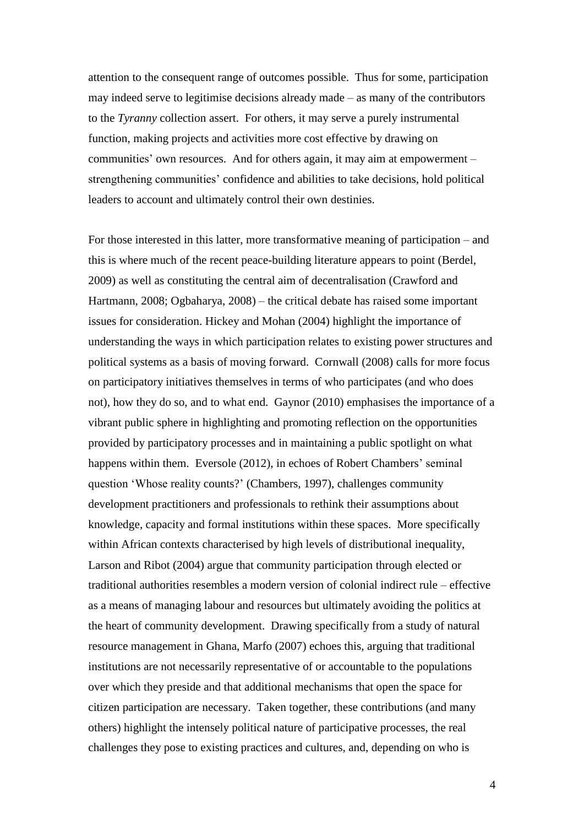attention to the consequent range of outcomes possible. Thus for some, participation may indeed serve to legitimise decisions already made – as many of the contributors to the *Tyranny* collection assert. For others, it may serve a purely instrumental function, making projects and activities more cost effective by drawing on communities' own resources. And for others again, it may aim at empowerment – strengthening communities' confidence and abilities to take decisions, hold political leaders to account and ultimately control their own destinies.

For those interested in this latter, more transformative meaning of participation – and this is where much of the recent peace-building literature appears to point (Berdel, 2009) as well as constituting the central aim of decentralisation (Crawford and Hartmann, 2008; Ogbaharya, 2008) – the critical debate has raised some important issues for consideration. Hickey and Mohan (2004) highlight the importance of understanding the ways in which participation relates to existing power structures and political systems as a basis of moving forward. Cornwall (2008) calls for more focus on participatory initiatives themselves in terms of who participates (and who does not), how they do so, and to what end. Gaynor (2010) emphasises the importance of a vibrant public sphere in highlighting and promoting reflection on the opportunities provided by participatory processes and in maintaining a public spotlight on what happens within them. Eversole (2012), in echoes of Robert Chambers' seminal question 'Whose reality counts?' (Chambers, 1997), challenges community development practitioners and professionals to rethink their assumptions about knowledge, capacity and formal institutions within these spaces. More specifically within African contexts characterised by high levels of distributional inequality, Larson and Ribot (2004) argue that community participation through elected or traditional authorities resembles a modern version of colonial indirect rule – effective as a means of managing labour and resources but ultimately avoiding the politics at the heart of community development. Drawing specifically from a study of natural resource management in Ghana, Marfo (2007) echoes this, arguing that traditional institutions are not necessarily representative of or accountable to the populations over which they preside and that additional mechanisms that open the space for citizen participation are necessary. Taken together, these contributions (and many others) highlight the intensely political nature of participative processes, the real challenges they pose to existing practices and cultures, and, depending on who is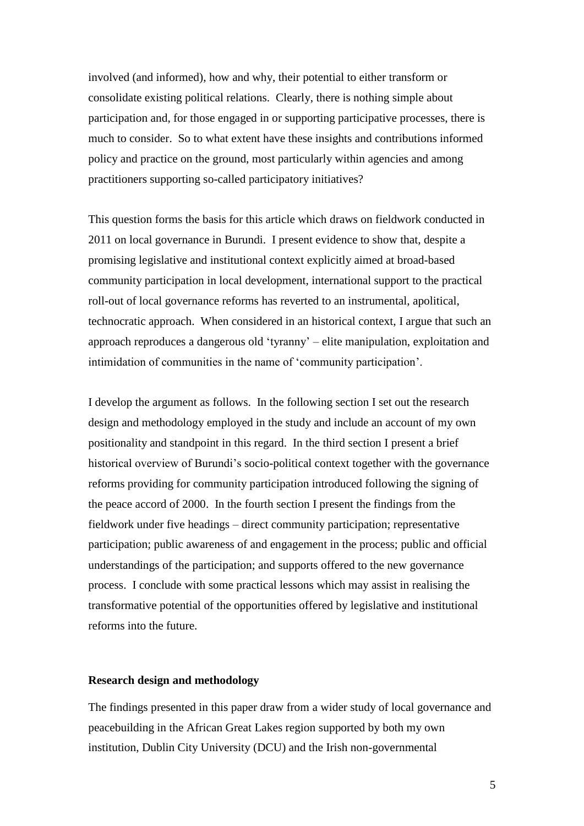involved (and informed), how and why, their potential to either transform or consolidate existing political relations. Clearly, there is nothing simple about participation and, for those engaged in or supporting participative processes, there is much to consider. So to what extent have these insights and contributions informed policy and practice on the ground, most particularly within agencies and among practitioners supporting so-called participatory initiatives?

This question forms the basis for this article which draws on fieldwork conducted in 2011 on local governance in Burundi. I present evidence to show that, despite a promising legislative and institutional context explicitly aimed at broad-based community participation in local development, international support to the practical roll-out of local governance reforms has reverted to an instrumental, apolitical, technocratic approach. When considered in an historical context, I argue that such an approach reproduces a dangerous old 'tyranny' – elite manipulation, exploitation and intimidation of communities in the name of 'community participation'.

I develop the argument as follows. In the following section I set out the research design and methodology employed in the study and include an account of my own positionality and standpoint in this regard. In the third section I present a brief historical overview of Burundi's socio-political context together with the governance reforms providing for community participation introduced following the signing of the peace accord of 2000. In the fourth section I present the findings from the fieldwork under five headings – direct community participation; representative participation; public awareness of and engagement in the process; public and official understandings of the participation; and supports offered to the new governance process. I conclude with some practical lessons which may assist in realising the transformative potential of the opportunities offered by legislative and institutional reforms into the future.

## **Research design and methodology**

The findings presented in this paper draw from a wider study of local governance and peacebuilding in the African Great Lakes region supported by both my own institution, Dublin City University (DCU) and the Irish non-governmental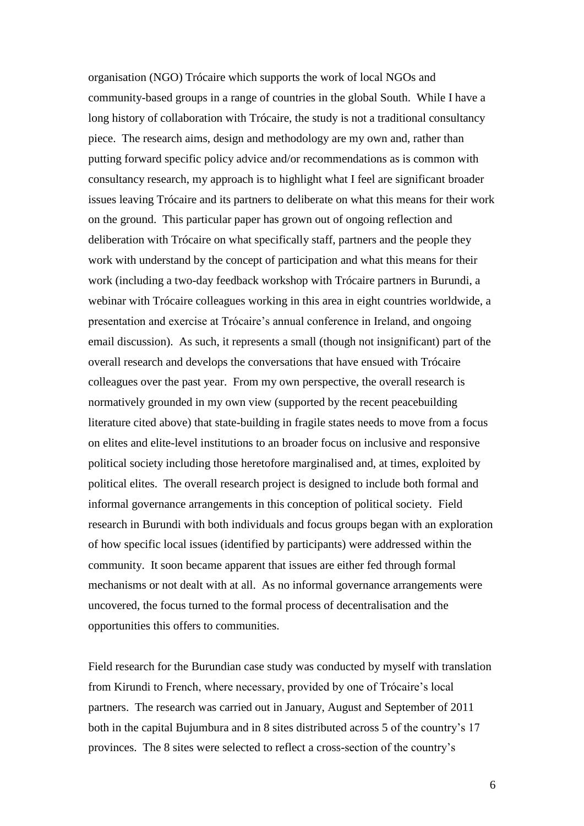organisation (NGO) Trócaire which supports the work of local NGOs and community-based groups in a range of countries in the global South. While I have a long history of collaboration with Trócaire, the study is not a traditional consultancy piece. The research aims, design and methodology are my own and, rather than putting forward specific policy advice and/or recommendations as is common with consultancy research, my approach is to highlight what I feel are significant broader issues leaving Trócaire and its partners to deliberate on what this means for their work on the ground. This particular paper has grown out of ongoing reflection and deliberation with Trócaire on what specifically staff, partners and the people they work with understand by the concept of participation and what this means for their work (including a two-day feedback workshop with Trócaire partners in Burundi, a webinar with Trócaire colleagues working in this area in eight countries worldwide, a presentation and exercise at Trócaire's annual conference in Ireland, and ongoing email discussion). As such, it represents a small (though not insignificant) part of the overall research and develops the conversations that have ensued with Trócaire colleagues over the past year. From my own perspective, the overall research is normatively grounded in my own view (supported by the recent peacebuilding literature cited above) that state-building in fragile states needs to move from a focus on elites and elite-level institutions to an broader focus on inclusive and responsive political society including those heretofore marginalised and, at times, exploited by political elites. The overall research project is designed to include both formal and informal governance arrangements in this conception of political society. Field research in Burundi with both individuals and focus groups began with an exploration of how specific local issues (identified by participants) were addressed within the community. It soon became apparent that issues are either fed through formal mechanisms or not dealt with at all. As no informal governance arrangements were uncovered, the focus turned to the formal process of decentralisation and the opportunities this offers to communities.

Field research for the Burundian case study was conducted by myself with translation from Kirundi to French, where necessary, provided by one of Trócaire's local partners. The research was carried out in January, August and September of 2011 both in the capital Bujumbura and in 8 sites distributed across 5 of the country's 17 provinces. The 8 sites were selected to reflect a cross-section of the country's

6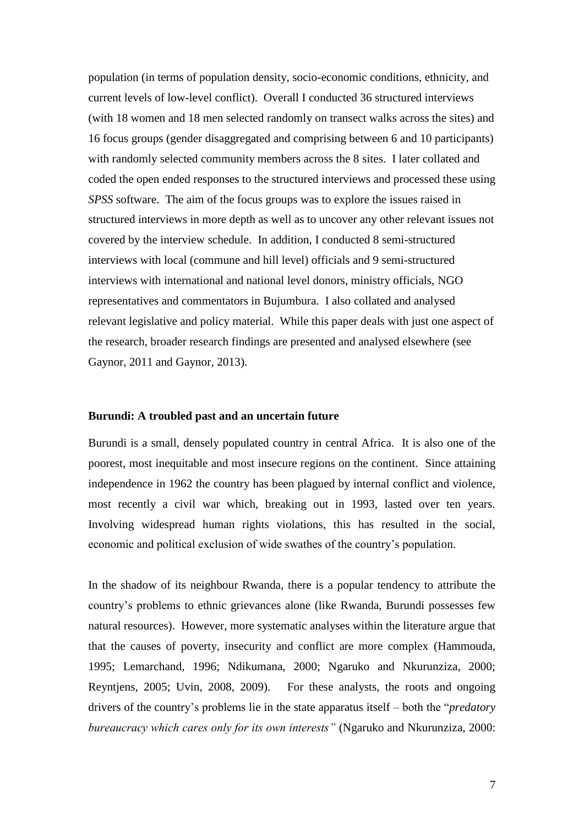population (in terms of population density, socio-economic conditions, ethnicity, and current levels of low-level conflict). Overall I conducted 36 structured interviews (with 18 women and 18 men selected randomly on transect walks across the sites) and 16 focus groups (gender disaggregated and comprising between 6 and 10 participants) with randomly selected community members across the 8 sites. I later collated and coded the open ended responses to the structured interviews and processed these using *SPSS* software. The aim of the focus groups was to explore the issues raised in structured interviews in more depth as well as to uncover any other relevant issues not covered by the interview schedule. In addition, I conducted 8 semi-structured interviews with local (commune and hill level) officials and 9 semi-structured interviews with international and national level donors, ministry officials, NGO representatives and commentators in Bujumbura. I also collated and analysed relevant legislative and policy material. While this paper deals with just one aspect of the research, broader research findings are presented and analysed elsewhere (see Gaynor, 2011 and Gaynor, 2013).

## **Burundi: A troubled past and an uncertain future**

Burundi is a small, densely populated country in central Africa. It is also one of the poorest, most inequitable and most insecure regions on the continent. Since attaining independence in 1962 the country has been plagued by internal conflict and violence, most recently a civil war which, breaking out in 1993, lasted over ten years. Involving widespread human rights violations, this has resulted in the social, economic and political exclusion of wide swathes of the country's population.

In the shadow of its neighbour Rwanda, there is a popular tendency to attribute the country's problems to ethnic grievances alone (like Rwanda, Burundi possesses few natural resources). However, more systematic analyses within the literature argue that that the causes of poverty, insecurity and conflict are more complex (Hammouda, 1995; Lemarchand, 1996; Ndikumana, 2000; Ngaruko and Nkurunziza, 2000; Reyntjens, 2005; Uvin, 2008, 2009). For these analysts, the roots and ongoing drivers of the country's problems lie in the state apparatus itself – both the "*predatory bureaucracy which cares only for its own interests"* (Ngaruko and Nkurunziza, 2000: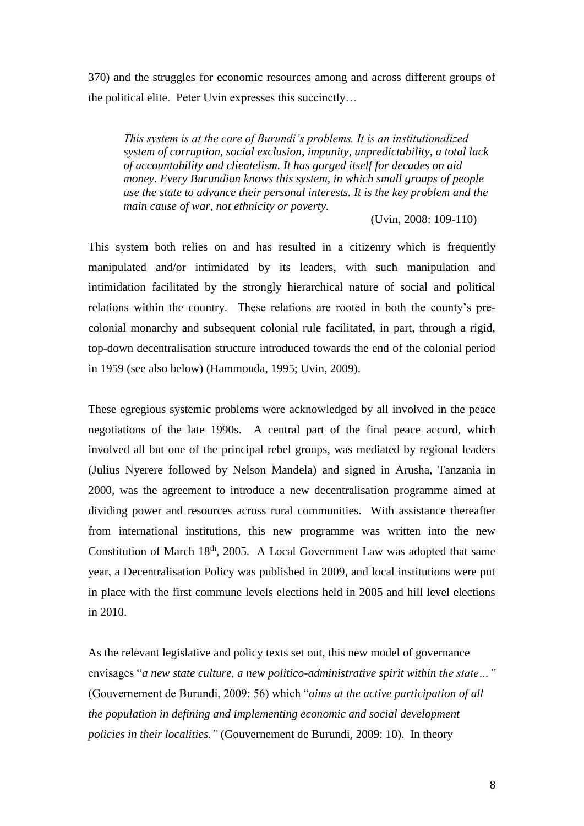370) and the struggles for economic resources among and across different groups of the political elite. Peter Uvin expresses this succinctly…

*This system is at the core of Burundi's problems. It is an institutionalized system of corruption, social exclusion, impunity, unpredictability, a total lack of accountability and clientelism. It has gorged itself for decades on aid money. Every Burundian knows this system, in which small groups of people use the state to advance their personal interests. It is the key problem and the main cause of war, not ethnicity or poverty.*

(Uvin, 2008: 109-110)

This system both relies on and has resulted in a citizenry which is frequently manipulated and/or intimidated by its leaders, with such manipulation and intimidation facilitated by the strongly hierarchical nature of social and political relations within the country. These relations are rooted in both the county's precolonial monarchy and subsequent colonial rule facilitated, in part, through a rigid, top-down decentralisation structure introduced towards the end of the colonial period in 1959 (see also below) (Hammouda, 1995; Uvin, 2009).

These egregious systemic problems were acknowledged by all involved in the peace negotiations of the late 1990s. A central part of the final peace accord, which involved all but one of the principal rebel groups, was mediated by regional leaders (Julius Nyerere followed by Nelson Mandela) and signed in Arusha, Tanzania in 2000, was the agreement to introduce a new decentralisation programme aimed at dividing power and resources across rural communities. With assistance thereafter from international institutions, this new programme was written into the new Constitution of March 18<sup>th</sup>, 2005. A Local Government Law was adopted that same year, a Decentralisation Policy was published in 2009, and local institutions were put in place with the first commune levels elections held in 2005 and hill level elections in 2010.

As the relevant legislative and policy texts set out, this new model of governance envisages "*a new state culture, a new politico-administrative spirit within the state…"*  (Gouvernement de Burundi, 2009: 56) which "*aims at the active participation of all the population in defining and implementing economic and social development policies in their localities."* (Gouvernement de Burundi, 2009: 10). In theory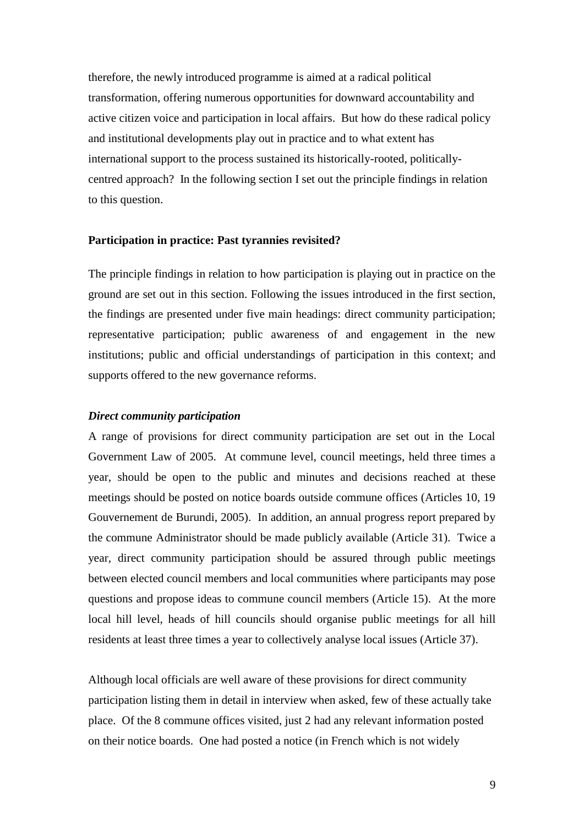therefore, the newly introduced programme is aimed at a radical political transformation, offering numerous opportunities for downward accountability and active citizen voice and participation in local affairs. But how do these radical policy and institutional developments play out in practice and to what extent has international support to the process sustained its historically-rooted, politicallycentred approach? In the following section I set out the principle findings in relation to this question.

#### **Participation in practice: Past tyrannies revisited?**

The principle findings in relation to how participation is playing out in practice on the ground are set out in this section. Following the issues introduced in the first section, the findings are presented under five main headings: direct community participation; representative participation; public awareness of and engagement in the new institutions; public and official understandings of participation in this context; and supports offered to the new governance reforms.

## *Direct community participation*

A range of provisions for direct community participation are set out in the Local Government Law of 2005. At commune level, council meetings, held three times a year, should be open to the public and minutes and decisions reached at these meetings should be posted on notice boards outside commune offices (Articles 10, 19 Gouvernement de Burundi, 2005). In addition, an annual progress report prepared by the commune Administrator should be made publicly available (Article 31). Twice a year, direct community participation should be assured through public meetings between elected council members and local communities where participants may pose questions and propose ideas to commune council members (Article 15). At the more local hill level, heads of hill councils should organise public meetings for all hill residents at least three times a year to collectively analyse local issues (Article 37).

Although local officials are well aware of these provisions for direct community participation listing them in detail in interview when asked, few of these actually take place. Of the 8 commune offices visited, just 2 had any relevant information posted on their notice boards. One had posted a notice (in French which is not widely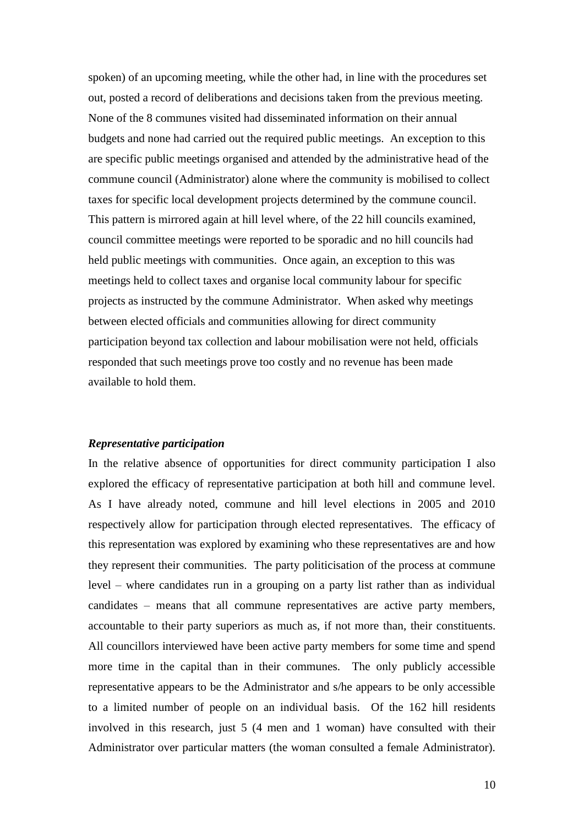spoken) of an upcoming meeting, while the other had, in line with the procedures set out, posted a record of deliberations and decisions taken from the previous meeting. None of the 8 communes visited had disseminated information on their annual budgets and none had carried out the required public meetings. An exception to this are specific public meetings organised and attended by the administrative head of the commune council (Administrator) alone where the community is mobilised to collect taxes for specific local development projects determined by the commune council. This pattern is mirrored again at hill level where, of the 22 hill councils examined, council committee meetings were reported to be sporadic and no hill councils had held public meetings with communities. Once again, an exception to this was meetings held to collect taxes and organise local community labour for specific projects as instructed by the commune Administrator. When asked why meetings between elected officials and communities allowing for direct community participation beyond tax collection and labour mobilisation were not held, officials responded that such meetings prove too costly and no revenue has been made available to hold them.

#### *Representative participation*

In the relative absence of opportunities for direct community participation I also explored the efficacy of representative participation at both hill and commune level. As I have already noted, commune and hill level elections in 2005 and 2010 respectively allow for participation through elected representatives. The efficacy of this representation was explored by examining who these representatives are and how they represent their communities. The party politicisation of the process at commune level – where candidates run in a grouping on a party list rather than as individual candidates – means that all commune representatives are active party members, accountable to their party superiors as much as, if not more than, their constituents. All councillors interviewed have been active party members for some time and spend more time in the capital than in their communes. The only publicly accessible representative appears to be the Administrator and s/he appears to be only accessible to a limited number of people on an individual basis. Of the 162 hill residents involved in this research, just 5 (4 men and 1 woman) have consulted with their Administrator over particular matters (the woman consulted a female Administrator).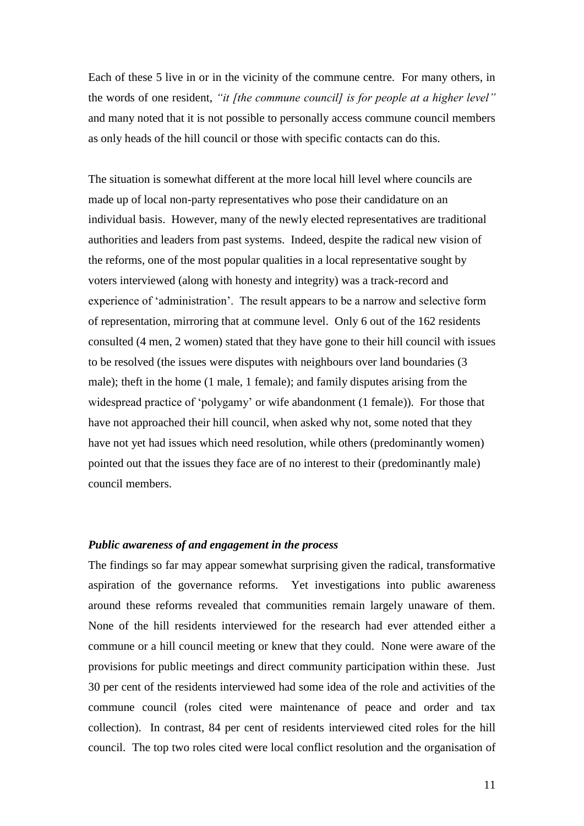Each of these 5 live in or in the vicinity of the commune centre. For many others, in the words of one resident, *"it [the commune council] is for people at a higher level"* and many noted that it is not possible to personally access commune council members as only heads of the hill council or those with specific contacts can do this.

The situation is somewhat different at the more local hill level where councils are made up of local non-party representatives who pose their candidature on an individual basis. However, many of the newly elected representatives are traditional authorities and leaders from past systems. Indeed, despite the radical new vision of the reforms, one of the most popular qualities in a local representative sought by voters interviewed (along with honesty and integrity) was a track-record and experience of 'administration'. The result appears to be a narrow and selective form of representation, mirroring that at commune level. Only 6 out of the 162 residents consulted (4 men, 2 women) stated that they have gone to their hill council with issues to be resolved (the issues were disputes with neighbours over land boundaries (3 male); theft in the home (1 male, 1 female); and family disputes arising from the widespread practice of 'polygamy' or wife abandonment (1 female)). For those that have not approached their hill council, when asked why not, some noted that they have not yet had issues which need resolution, while others (predominantly women) pointed out that the issues they face are of no interest to their (predominantly male) council members.

#### *Public awareness of and engagement in the process*

The findings so far may appear somewhat surprising given the radical, transformative aspiration of the governance reforms. Yet investigations into public awareness around these reforms revealed that communities remain largely unaware of them. None of the hill residents interviewed for the research had ever attended either a commune or a hill council meeting or knew that they could. None were aware of the provisions for public meetings and direct community participation within these. Just 30 per cent of the residents interviewed had some idea of the role and activities of the commune council (roles cited were maintenance of peace and order and tax collection). In contrast, 84 per cent of residents interviewed cited roles for the hill council. The top two roles cited were local conflict resolution and the organisation of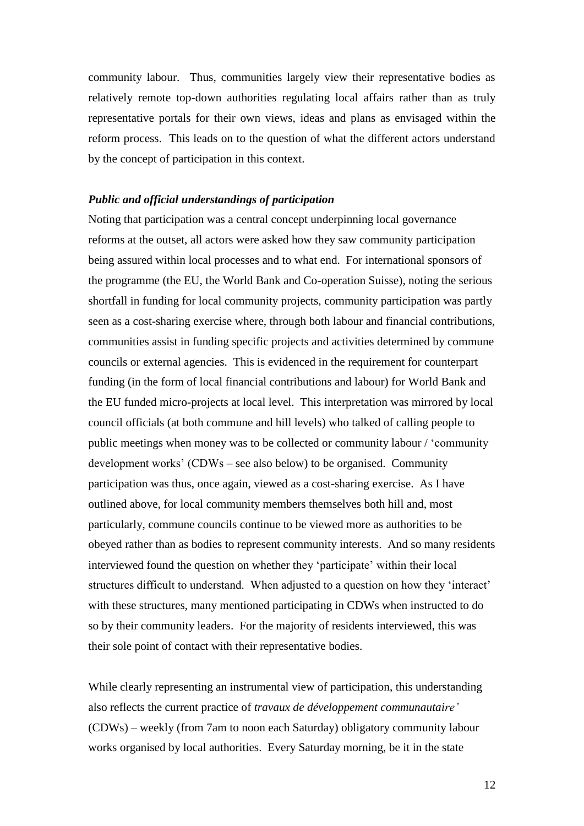community labour. Thus, communities largely view their representative bodies as relatively remote top-down authorities regulating local affairs rather than as truly representative portals for their own views, ideas and plans as envisaged within the reform process. This leads on to the question of what the different actors understand by the concept of participation in this context.

#### *Public and official understandings of participation*

Noting that participation was a central concept underpinning local governance reforms at the outset, all actors were asked how they saw community participation being assured within local processes and to what end. For international sponsors of the programme (the EU, the World Bank and Co-operation Suisse), noting the serious shortfall in funding for local community projects, community participation was partly seen as a cost-sharing exercise where, through both labour and financial contributions, communities assist in funding specific projects and activities determined by commune councils or external agencies. This is evidenced in the requirement for counterpart funding (in the form of local financial contributions and labour) for World Bank and the EU funded micro-projects at local level. This interpretation was mirrored by local council officials (at both commune and hill levels) who talked of calling people to public meetings when money was to be collected or community labour / 'community development works' (CDWs – see also below) to be organised. Community participation was thus, once again, viewed as a cost-sharing exercise. As I have outlined above, for local community members themselves both hill and, most particularly, commune councils continue to be viewed more as authorities to be obeyed rather than as bodies to represent community interests. And so many residents interviewed found the question on whether they 'participate' within their local structures difficult to understand. When adjusted to a question on how they 'interact' with these structures, many mentioned participating in CDWs when instructed to do so by their community leaders. For the majority of residents interviewed, this was their sole point of contact with their representative bodies.

While clearly representing an instrumental view of participation, this understanding also reflects the current practice of *travaux de développement communautaire'*  (CDWs) – weekly (from 7am to noon each Saturday) obligatory community labour works organised by local authorities. Every Saturday morning, be it in the state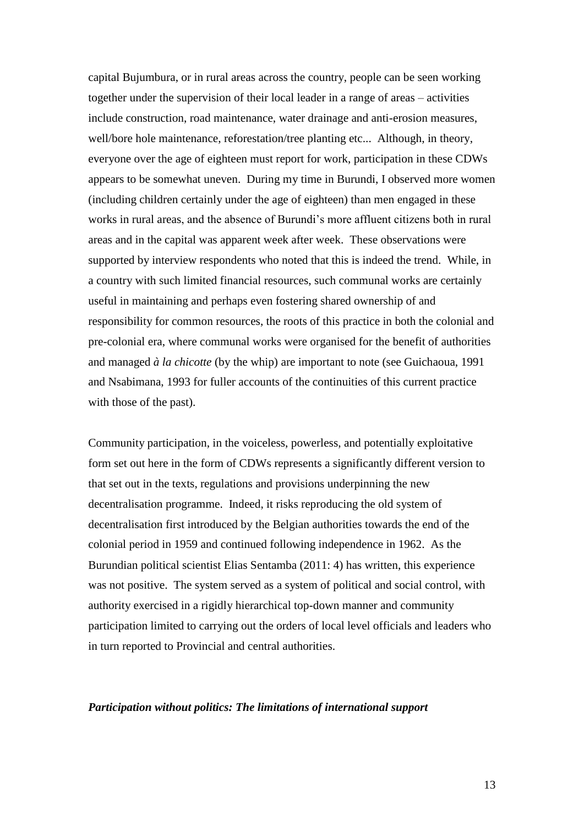capital Bujumbura, or in rural areas across the country, people can be seen working together under the supervision of their local leader in a range of areas – activities include construction, road maintenance, water drainage and anti-erosion measures, well/bore hole maintenance, reforestation/tree planting etc... Although, in theory, everyone over the age of eighteen must report for work, participation in these CDWs appears to be somewhat uneven. During my time in Burundi, I observed more women (including children certainly under the age of eighteen) than men engaged in these works in rural areas, and the absence of Burundi's more affluent citizens both in rural areas and in the capital was apparent week after week. These observations were supported by interview respondents who noted that this is indeed the trend. While, in a country with such limited financial resources, such communal works are certainly useful in maintaining and perhaps even fostering shared ownership of and responsibility for common resources, the roots of this practice in both the colonial and pre-colonial era, where communal works were organised for the benefit of authorities and managed *à la chicotte* (by the whip) are important to note (see Guichaoua, 1991 and Nsabimana, 1993 for fuller accounts of the continuities of this current practice with those of the past).

Community participation, in the voiceless, powerless, and potentially exploitative form set out here in the form of CDWs represents a significantly different version to that set out in the texts, regulations and provisions underpinning the new decentralisation programme. Indeed, it risks reproducing the old system of decentralisation first introduced by the Belgian authorities towards the end of the colonial period in 1959 and continued following independence in 1962. As the Burundian political scientist Elias Sentamba (2011: 4) has written, this experience was not positive. The system served as a system of political and social control, with authority exercised in a rigidly hierarchical top-down manner and community participation limited to carrying out the orders of local level officials and leaders who in turn reported to Provincial and central authorities.

## *Participation without politics: The limitations of international support*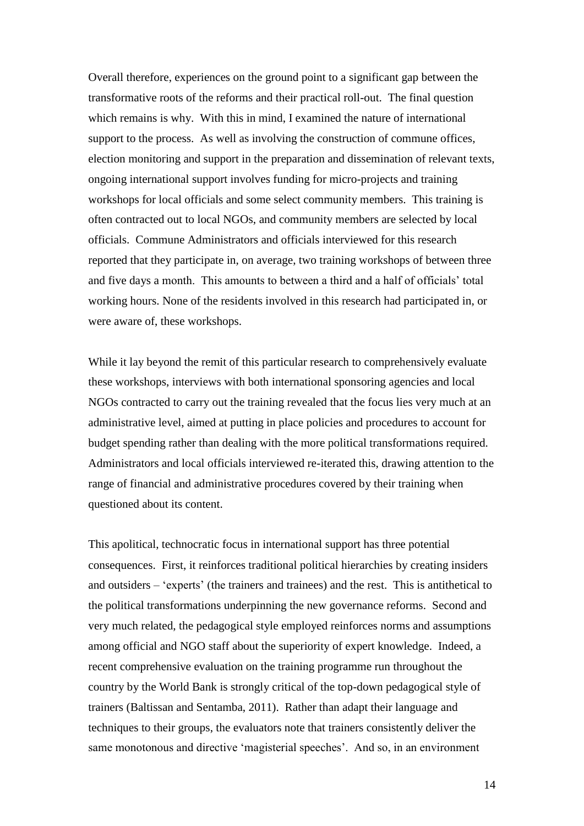Overall therefore, experiences on the ground point to a significant gap between the transformative roots of the reforms and their practical roll-out. The final question which remains is why. With this in mind, I examined the nature of international support to the process. As well as involving the construction of commune offices, election monitoring and support in the preparation and dissemination of relevant texts, ongoing international support involves funding for micro-projects and training workshops for local officials and some select community members. This training is often contracted out to local NGOs, and community members are selected by local officials. Commune Administrators and officials interviewed for this research reported that they participate in, on average, two training workshops of between three and five days a month. This amounts to between a third and a half of officials' total working hours. None of the residents involved in this research had participated in, or were aware of, these workshops.

While it lay beyond the remit of this particular research to comprehensively evaluate these workshops, interviews with both international sponsoring agencies and local NGOs contracted to carry out the training revealed that the focus lies very much at an administrative level, aimed at putting in place policies and procedures to account for budget spending rather than dealing with the more political transformations required. Administrators and local officials interviewed re-iterated this, drawing attention to the range of financial and administrative procedures covered by their training when questioned about its content.

This apolitical, technocratic focus in international support has three potential consequences. First, it reinforces traditional political hierarchies by creating insiders and outsiders – 'experts' (the trainers and trainees) and the rest. This is antithetical to the political transformations underpinning the new governance reforms. Second and very much related, the pedagogical style employed reinforces norms and assumptions among official and NGO staff about the superiority of expert knowledge. Indeed, a recent comprehensive evaluation on the training programme run throughout the country by the World Bank is strongly critical of the top-down pedagogical style of trainers (Baltissan and Sentamba, 2011). Rather than adapt their language and techniques to their groups, the evaluators note that trainers consistently deliver the same monotonous and directive 'magisterial speeches'. And so, in an environment

14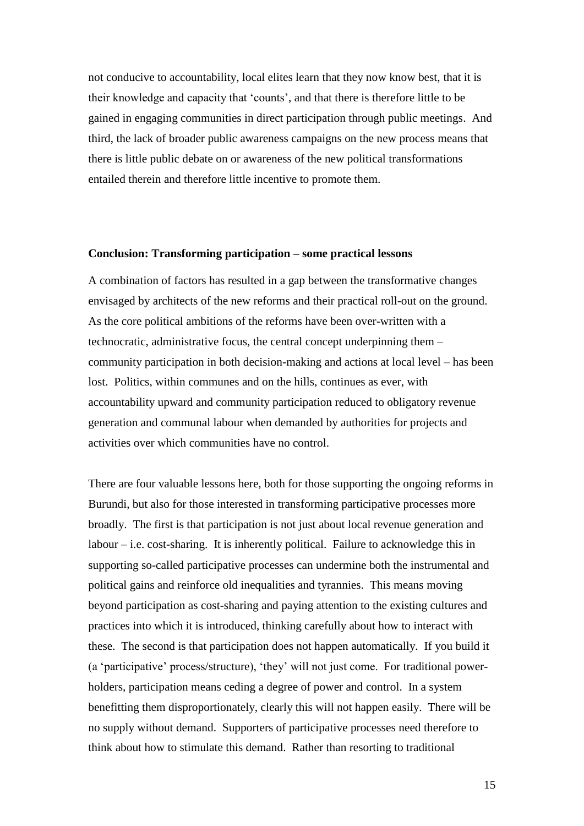not conducive to accountability, local elites learn that they now know best, that it is their knowledge and capacity that 'counts', and that there is therefore little to be gained in engaging communities in direct participation through public meetings. And third, the lack of broader public awareness campaigns on the new process means that there is little public debate on or awareness of the new political transformations entailed therein and therefore little incentive to promote them.

### **Conclusion: Transforming participation – some practical lessons**

A combination of factors has resulted in a gap between the transformative changes envisaged by architects of the new reforms and their practical roll-out on the ground. As the core political ambitions of the reforms have been over-written with a technocratic, administrative focus, the central concept underpinning them – community participation in both decision-making and actions at local level – has been lost. Politics, within communes and on the hills, continues as ever, with accountability upward and community participation reduced to obligatory revenue generation and communal labour when demanded by authorities for projects and activities over which communities have no control.

There are four valuable lessons here, both for those supporting the ongoing reforms in Burundi, but also for those interested in transforming participative processes more broadly. The first is that participation is not just about local revenue generation and  $labor - i.e. cost-sharing. It is inherently political. Failure to acknowledge this in$ supporting so-called participative processes can undermine both the instrumental and political gains and reinforce old inequalities and tyrannies. This means moving beyond participation as cost-sharing and paying attention to the existing cultures and practices into which it is introduced, thinking carefully about how to interact with these. The second is that participation does not happen automatically. If you build it (a 'participative' process/structure), 'they' will not just come. For traditional powerholders, participation means ceding a degree of power and control. In a system benefitting them disproportionately, clearly this will not happen easily. There will be no supply without demand. Supporters of participative processes need therefore to think about how to stimulate this demand. Rather than resorting to traditional

15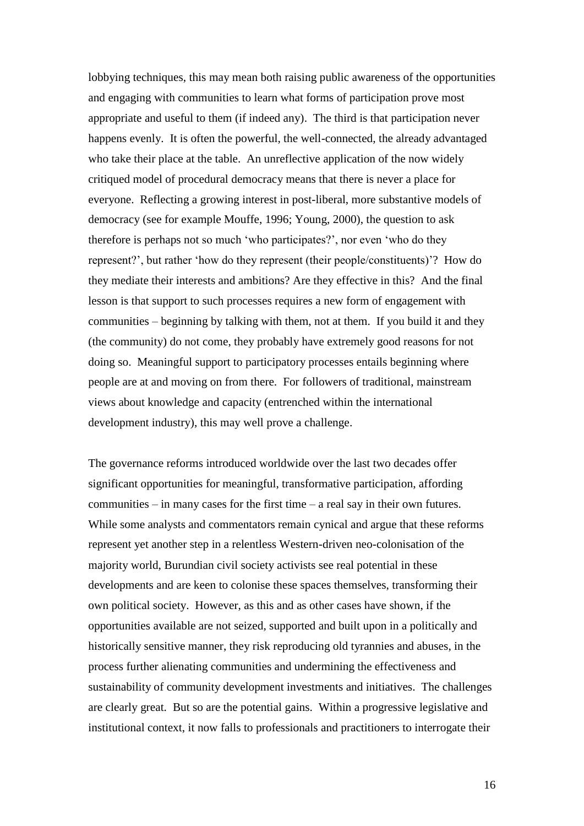lobbying techniques, this may mean both raising public awareness of the opportunities and engaging with communities to learn what forms of participation prove most appropriate and useful to them (if indeed any). The third is that participation never happens evenly. It is often the powerful, the well-connected, the already advantaged who take their place at the table. An unreflective application of the now widely critiqued model of procedural democracy means that there is never a place for everyone. Reflecting a growing interest in post-liberal, more substantive models of democracy (see for example Mouffe, 1996; Young, 2000), the question to ask therefore is perhaps not so much 'who participates?', nor even 'who do they represent?', but rather 'how do they represent (their people/constituents)'? How do they mediate their interests and ambitions? Are they effective in this? And the final lesson is that support to such processes requires a new form of engagement with communities – beginning by talking with them, not at them. If you build it and they (the community) do not come, they probably have extremely good reasons for not doing so. Meaningful support to participatory processes entails beginning where people are at and moving on from there. For followers of traditional, mainstream views about knowledge and capacity (entrenched within the international development industry), this may well prove a challenge.

The governance reforms introduced worldwide over the last two decades offer significant opportunities for meaningful, transformative participation, affording communities – in many cases for the first time – a real say in their own futures. While some analysts and commentators remain cynical and argue that these reforms represent yet another step in a relentless Western-driven neo-colonisation of the majority world, Burundian civil society activists see real potential in these developments and are keen to colonise these spaces themselves, transforming their own political society. However, as this and as other cases have shown, if the opportunities available are not seized, supported and built upon in a politically and historically sensitive manner, they risk reproducing old tyrannies and abuses, in the process further alienating communities and undermining the effectiveness and sustainability of community development investments and initiatives. The challenges are clearly great. But so are the potential gains. Within a progressive legislative and institutional context, it now falls to professionals and practitioners to interrogate their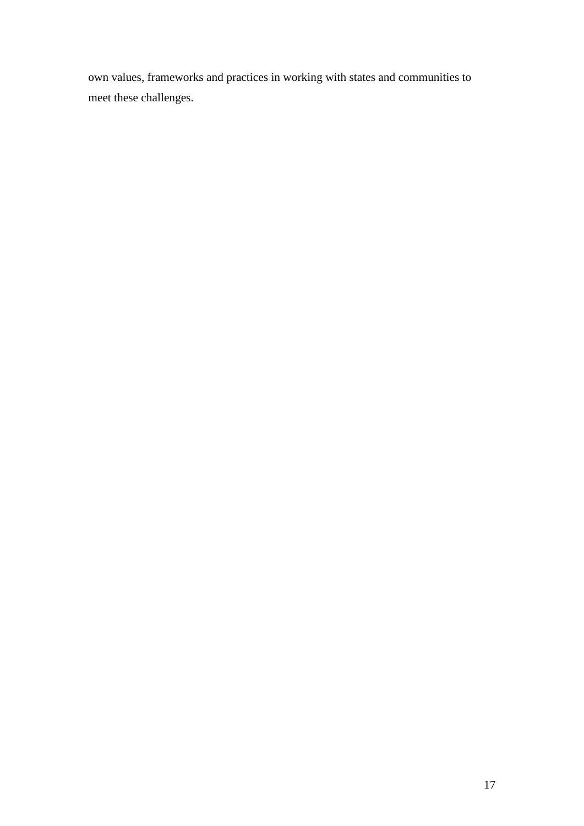own values, frameworks and practices in working with states and communities to meet these challenges.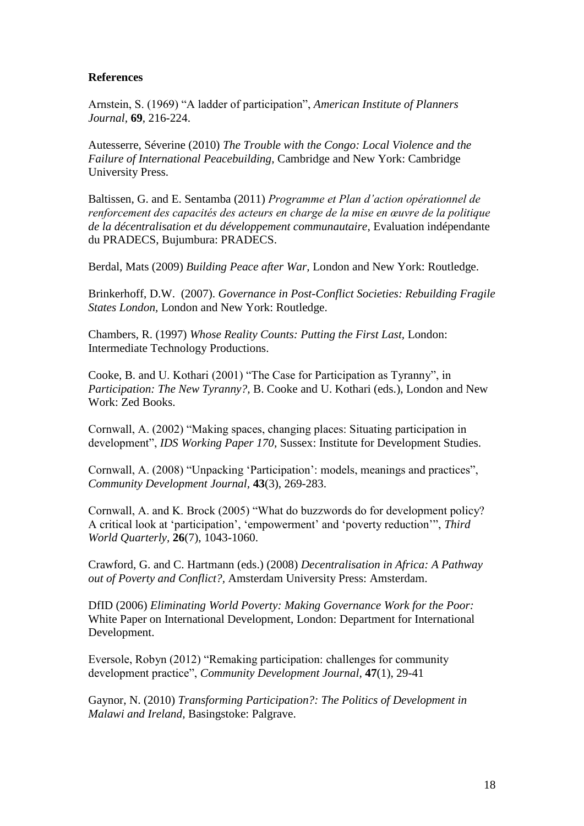## **References**

Arnstein, S. (1969) "A ladder of participation", *American Institute of Planners Journal,* **69**, 216-224.

Autesserre, Séverine (2010) *The Trouble with the Congo: Local Violence and the Failure of International Peacebuilding,* Cambridge and New York: Cambridge University Press.

Baltissen, G. and E. Sentamba (2011) *Programme et Plan d'action opérationnel de renforcement des capacités des acteurs en charge de la mise en œuvre de la politique de la décentralisation et du développement communautaire*, Evaluation indépendante du PRADECS, Bujumbura: PRADECS.

Berdal, Mats (2009) *Building Peace after War,* London and New York: Routledge.

Brinkerhoff, D.W. (2007). *[Governance in Post-Conflict Societies: Rebuilding Fragile](http://www.rti.org/publications/abstract.cfm?pubid=8192)  [States](http://www.rti.org/publications/abstract.cfm?pubid=8192) London,* London and New York: Routledge.

Chambers, R. (1997) *Whose Reality Counts: Putting the First Last,* London: Intermediate Technology Productions.

Cooke, B. and U. Kothari (2001) "The Case for Participation as Tyranny", in *Participation: The New Tyranny?,* B. Cooke and U. Kothari (eds.), London and New Work: Zed Books.

Cornwall, A. (2002) "Making spaces, changing places: Situating participation in development", *IDS Working Paper 170,* Sussex: Institute for Development Studies.

Cornwall, A. (2008) "Unpacking 'Participation': models, meanings and practices", *Community Development Journal,* **43**(3), 269-283.

Cornwall, A. and K. Brock (2005) "What do buzzwords do for development policy? A critical look at 'participation', 'empowerment' and 'poverty reduction'", *Third World Quarterly,* **26**(7), 1043-1060.

Crawford, G. and C. Hartmann (eds.) (2008) *Decentralisation in Africa: A Pathway out of Poverty and Conflict?,* Amsterdam University Press: Amsterdam.

DfID (2006) *Eliminating World Poverty: Making Governance Work for the Poor:* White Paper on International Development, London: Department for International Development.

Eversole, Robyn (2012) "Remaking participation: challenges for community development practice", *Community Development Journal,* **47**(1), 29-41

Gaynor, N. (2010) *Transforming Participation?: The Politics of Development in Malawi and Ireland,* Basingstoke: Palgrave.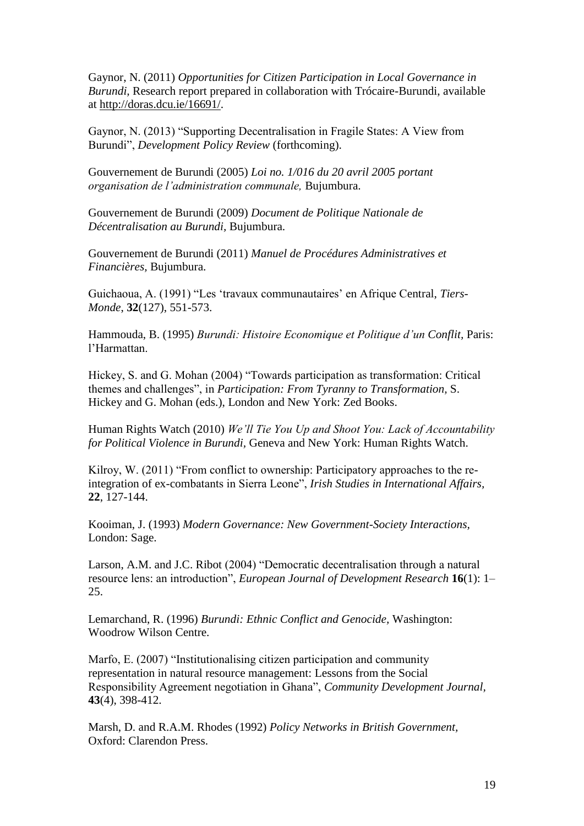Gaynor, N. (2011) *Opportunities for Citizen Participation in Local Governance in Burundi,* Research report prepared in collaboration with Trócaire-Burundi, available at [http://doras.dcu.ie/16691/.](http://doras.dcu.ie/16691/)

Gaynor, N. (2013) "Supporting Decentralisation in Fragile States: A View from Burundi", *Development Policy Review* (forthcoming).

Gouvernement de Burundi (2005) *Loi no. 1/016 du 20 avril 2005 portant organisation de l'administration communale,* Bujumbura.

Gouvernement de Burundi (2009) *Document de Politique Nationale de Décentralisation au Burundi,* Bujumbura.

Gouvernement de Burundi (2011) *Manuel de Procédures Administratives et Financières,* Bujumbura.

Guichaoua, A. (1991) "Les 'travaux communautaires' en Afrique Central, *Tiers-Monde*, **32**(127), 551-573.

Hammouda, B. (1995) *Burundi: Histoire Economique et Politique d'un Conflit,* Paris: l'Harmattan.

Hickey, S. and G. Mohan (2004) "Towards participation as transformation: Critical themes and challenges", in *Participation: From Tyranny to Transformation,* S. Hickey and G. Mohan (eds.), London and New York: Zed Books.

Human Rights Watch (2010) *We'll Tie You Up and Shoot You: Lack of Accountability for Political Violence in Burundi,* Geneva and New York: Human Rights Watch.

Kilroy, W. (2011) "From conflict to ownership: Participatory approaches to the reintegration of ex-combatants in Sierra Leone", *Irish Studies in International Affairs,*  **22**, 127-144.

Kooiman, J. (1993) *Modern Governance: New Government-Society Interactions,*  London: Sage.

Larson, A.M. and J.C. Ribot (2004) "Democratic decentralisation through a natural resource lens: an introduction", *European Journal of Development Research* **16**(1): 1– 25.

Lemarchand, R. (1996) *Burundi: Ethnic Conflict and Genocide,* Washington: Woodrow Wilson Centre.

Marfo, E. (2007) "Institutionalising citizen participation and community representation in natural resource management: Lessons from the Social Responsibility Agreement negotiation in Ghana", *Community Development Journal,*  **43**(4), 398-412.

Marsh, D. and R.A.M. Rhodes (1992) *Policy Networks in British Government,*  Oxford: Clarendon Press.